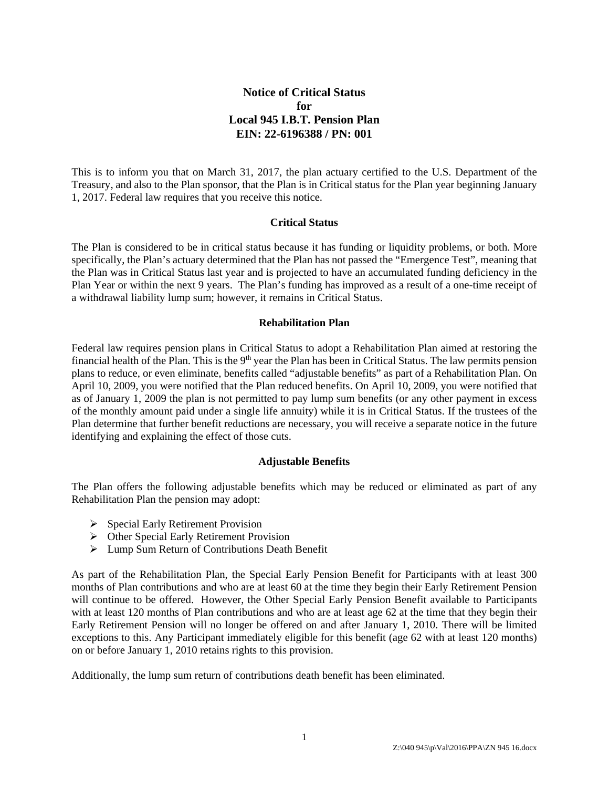# **Notice of Critical Status for Local 945 I.B.T. Pension Plan EIN: 22-6196388 / PN: 001**

This is to inform you that on March 31, 2017, the plan actuary certified to the U.S. Department of the Treasury, and also to the Plan sponsor, that the Plan is in Critical status for the Plan year beginning January 1, 2017. Federal law requires that you receive this notice.

### **Critical Status**

The Plan is considered to be in critical status because it has funding or liquidity problems, or both. More specifically, the Plan's actuary determined that the Plan has not passed the "Emergence Test", meaning that the Plan was in Critical Status last year and is projected to have an accumulated funding deficiency in the Plan Year or within the next 9 years. The Plan's funding has improved as a result of a one-time receipt of a withdrawal liability lump sum; however, it remains in Critical Status.

### **Rehabilitation Plan**

Federal law requires pension plans in Critical Status to adopt a Rehabilitation Plan aimed at restoring the financial health of the Plan. This is the  $9<sup>th</sup>$  year the Plan has been in Critical Status. The law permits pension plans to reduce, or even eliminate, benefits called "adjustable benefits" as part of a Rehabilitation Plan. On April 10, 2009, you were notified that the Plan reduced benefits. On April 10, 2009, you were notified that as of January 1, 2009 the plan is not permitted to pay lump sum benefits (or any other payment in excess of the monthly amount paid under a single life annuity) while it is in Critical Status. If the trustees of the Plan determine that further benefit reductions are necessary, you will receive a separate notice in the future identifying and explaining the effect of those cuts.

#### **Adjustable Benefits**

The Plan offers the following adjustable benefits which may be reduced or eliminated as part of any Rehabilitation Plan the pension may adopt:

- $\triangleright$  Special Early Retirement Provision
- $\triangleright$  Other Special Early Retirement Provision
- Lump Sum Return of Contributions Death Benefit

As part of the Rehabilitation Plan, the Special Early Pension Benefit for Participants with at least 300 months of Plan contributions and who are at least 60 at the time they begin their Early Retirement Pension will continue to be offered. However, the Other Special Early Pension Benefit available to Participants with at least 120 months of Plan contributions and who are at least age 62 at the time that they begin their Early Retirement Pension will no longer be offered on and after January 1, 2010. There will be limited exceptions to this. Any Participant immediately eligible for this benefit (age 62 with at least 120 months) on or before January 1, 2010 retains rights to this provision.

Additionally, the lump sum return of contributions death benefit has been eliminated.